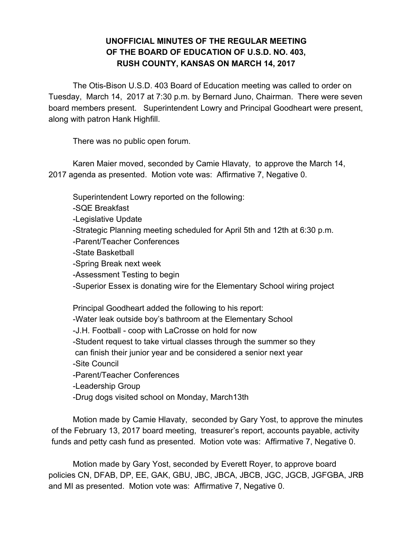## **UNOFFICIAL MINUTES OF THE REGULAR MEETING OF THE BOARD OF EDUCATION OF U.S.D. NO. 403, RUSH COUNTY, KANSAS ON MARCH 14, 2017**

The Otis-Bison U.S.D. 403 Board of Education meeting was called to order on Tuesday, March 14, 2017 at 7:30 p.m. by Bernard Juno, Chairman. There were seven board members present. Superintendent Lowry and Principal Goodheart were present, along with patron Hank Highfill.

There was no public open forum.

Karen Maier moved, seconded by Camie Hlavaty, to approve the March 14, 2017 agenda as presented. Motion vote was: Affirmative 7, Negative 0.

Superintendent Lowry reported on the following: -SQE Breakfast -Legislative Update -Strategic Planning meeting scheduled for April 5th and 12th at 6:30 p.m. -Parent/Teacher Conferences -State Basketball -Spring Break next week -Assessment Testing to begin -Superior Essex is donating wire for the Elementary School wiring project Principal Goodheart added the following to his report: -Water leak outside boy's bathroom at the Elementary School -J.H. Football - coop with LaCrosse on hold for now -Student request to take virtual classes through the summer so they can finish their junior year and be considered a senior next year -Site Council -Parent/Teacher Conferences -Leadership Group -Drug dogs visited school on Monday, March13th

Motion made by Camie Hlavaty, seconded by Gary Yost, to approve the minutes of the February 13, 2017 board meeting, treasurer's report, accounts payable, activity funds and petty cash fund as presented. Motion vote was: Affirmative 7, Negative 0.

Motion made by Gary Yost, seconded by Everett Royer, to approve board policies CN, DFAB, DP, EE, GAK, GBU, JBC, JBCA, JBCB, JGC, JGCB, JGFGBA, JRB and MI as presented. Motion vote was: Affirmative 7, Negative 0.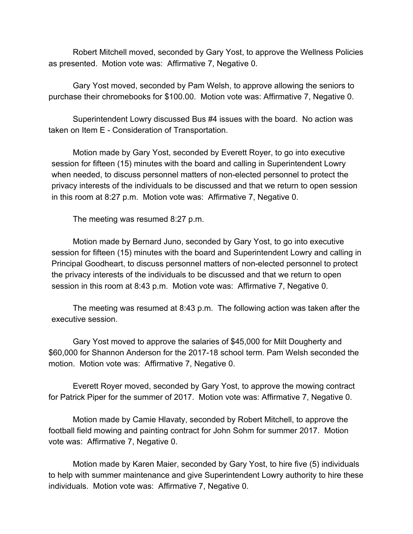Robert Mitchell moved, seconded by Gary Yost, to approve the Wellness Policies as presented. Motion vote was: Affirmative 7, Negative 0.

Gary Yost moved, seconded by Pam Welsh, to approve allowing the seniors to purchase their chromebooks for \$100.00. Motion vote was: Affirmative 7, Negative 0.

Superintendent Lowry discussed Bus #4 issues with the board. No action was taken on Item E - Consideration of Transportation.

Motion made by Gary Yost, seconded by Everett Royer, to go into executive session for fifteen (15) minutes with the board and calling in Superintendent Lowry when needed, to discuss personnel matters of non-elected personnel to protect the privacy interests of the individuals to be discussed and that we return to open session in this room at 8:27 p.m. Motion vote was: Affirmative 7, Negative 0.

The meeting was resumed 8:27 p.m.

Motion made by Bernard Juno, seconded by Gary Yost, to go into executive session for fifteen (15) minutes with the board and Superintendent Lowry and calling in Principal Goodheart, to discuss personnel matters of non-elected personnel to protect the privacy interests of the individuals to be discussed and that we return to open session in this room at 8:43 p.m. Motion vote was: Affirmative 7, Negative 0.

The meeting was resumed at 8:43 p.m. The following action was taken after the executive session.

Gary Yost moved to approve the salaries of \$45,000 for Milt Dougherty and \$60,000 for Shannon Anderson for the 2017-18 school term. Pam Welsh seconded the motion. Motion vote was: Affirmative 7, Negative 0.

Everett Royer moved, seconded by Gary Yost, to approve the mowing contract for Patrick Piper for the summer of 2017. Motion vote was: Affirmative 7, Negative 0.

Motion made by Camie Hlavaty, seconded by Robert Mitchell, to approve the football field mowing and painting contract for John Sohm for summer 2017. Motion vote was: Affirmative 7, Negative 0.

Motion made by Karen Maier, seconded by Gary Yost, to hire five (5) individuals to help with summer maintenance and give Superintendent Lowry authority to hire these individuals. Motion vote was: Affirmative 7, Negative 0.